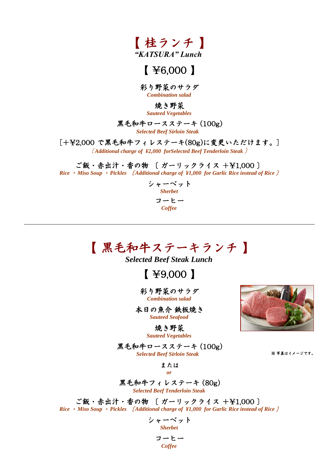

### $[$  \frac{6,000  $]$

彩り野菜のサラダ *Combination salad*

焼き野菜

*Sauteed Vegetables*

#### 黒毛和牛ロースステーキ (100g)

*Selected Beef Sirloin Steak* 

[+\2,000 で黒毛和牛フィレステーキ(80g)に変更いただけます。]

**〔** *Additional charge of ¥2,000 forSelected Beef Tenderloin Steak* **〕**

ご飯・赤出汁・香の物 〔 ガーリックライス +\1,000 〕 *Rice* ・ *Miso Soup* ・ *Pickles* 〔 *Additional charge of ¥1,000 for Garlic Rice instead of Rice* 〕

> シャーベット *Sherbet* コーヒー *Coffee*

# 【 黒毛和牛ステーキランチ 】

*Selected Beef Steak Lunch*

【 \9,000 】

彩り野菜のサラダ *Combination salad*

本日の魚介 鉄板焼き *Sauteed Seafood*

> 焼き野菜 *Sauteed Vegetables*

黒毛和牛ロースステーキ (100g) *Selected Beef Sirloin Steak* 

または *or*

黒毛和牛フィレステーキ (80g) *Selected Beef Tenderloin Steak*

ご飯・赤出汁・香の物 〔 ガーリックライス +\1,000 〕 *Rice* ・ *Miso Soup* ・ *Pickles* 〔 *Additional charge of ¥1,000 for Garlic Rice instead of Rice* 〕 *cef Sirloin Steak*<br>
または<br>
or<br>
レステーキ (80g)<br> *F* Tenderloin Steak<br>
ガーリックライス +\H1,000 ]<br>
charge of \H1,000 for Garlic Rice instead of Rice ]<br>
一ベット<br>
Sherbet<br>
ーヒー<br>
Coffee

シャーベット *Sherbet* コーヒー